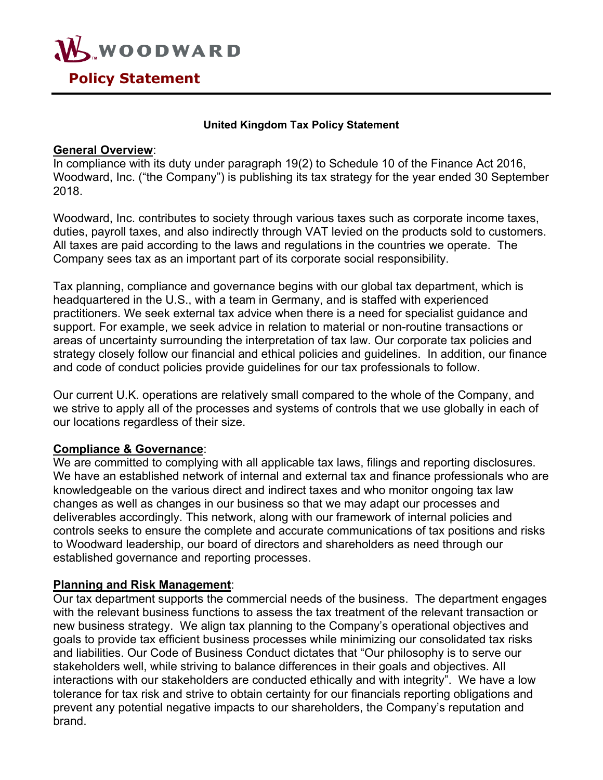

#### **United Kingdom Tax Policy Statement**

#### **General Overview**:

In compliance with its duty under paragraph 19(2) to Schedule 10 of the Finance Act 2016, Woodward, Inc. ("the Company") is publishing its tax strategy for the year ended 30 September 2018.

Woodward, Inc. contributes to society through various taxes such as corporate income taxes, duties, payroll taxes, and also indirectly through VAT levied on the products sold to customers. All taxes are paid according to the laws and regulations in the countries we operate. The Company sees tax as an important part of its corporate social responsibility.

Tax planning, compliance and governance begins with our global tax department, which is headquartered in the U.S., with a team in Germany, and is staffed with experienced practitioners. We seek external tax advice when there is a need for specialist guidance and support. For example, we seek advice in relation to material or non-routine transactions or areas of uncertainty surrounding the interpretation of tax law. Our corporate tax policies and strategy closely follow our financial and ethical policies and guidelines. In addition, our finance and code of conduct policies provide guidelines for our tax professionals to follow.

Our current U.K. operations are relatively small compared to the whole of the Company, and we strive to apply all of the processes and systems of controls that we use globally in each of our locations regardless of their size.

#### **Compliance & Governance**:

We are committed to complying with all applicable tax laws, filings and reporting disclosures. We have an established network of internal and external tax and finance professionals who are knowledgeable on the various direct and indirect taxes and who monitor ongoing tax law changes as well as changes in our business so that we may adapt our processes and deliverables accordingly. This network, along with our framework of internal policies and controls seeks to ensure the complete and accurate communications of tax positions and risks to Woodward leadership, our board of directors and shareholders as need through our established governance and reporting processes.

#### **Planning and Risk Management**:

Our tax department supports the commercial needs of the business. The department engages with the relevant business functions to assess the tax treatment of the relevant transaction or new business strategy. We align tax planning to the Company's operational objectives and goals to provide tax efficient business processes while minimizing our consolidated tax risks and liabilities. Our Code of Business Conduct dictates that "Our philosophy is to serve our stakeholders well, while striving to balance differences in their goals and objectives. All interactions with our stakeholders are conducted ethically and with integrity". We have a low tolerance for tax risk and strive to obtain certainty for our financials reporting obligations and prevent any potential negative impacts to our shareholders, the Company's reputation and brand.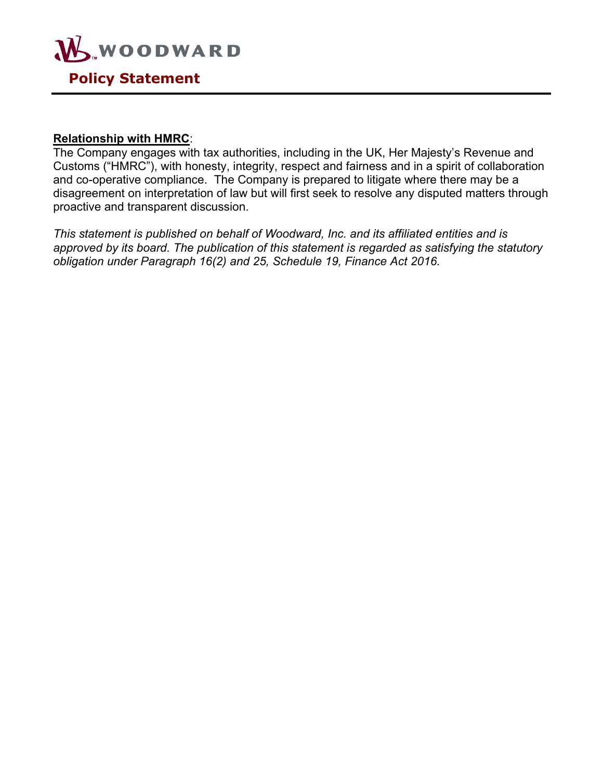

#### **Relationship with HMRC**:

The Company engages with tax authorities, including in the UK, Her Majesty's Revenue and Customs ("HMRC"), with honesty, integrity, respect and fairness and in a spirit of collaboration and co-operative compliance. The Company is prepared to litigate where there may be a disagreement on interpretation of law but will first seek to resolve any disputed matters through proactive and transparent discussion.

*This statement is published on behalf of Woodward, Inc. and its affiliated entities and is approved by its board. The publication of this statement is regarded as satisfying the statutory obligation under Paragraph 16(2) and 25, Schedule 19, Finance Act 2016.*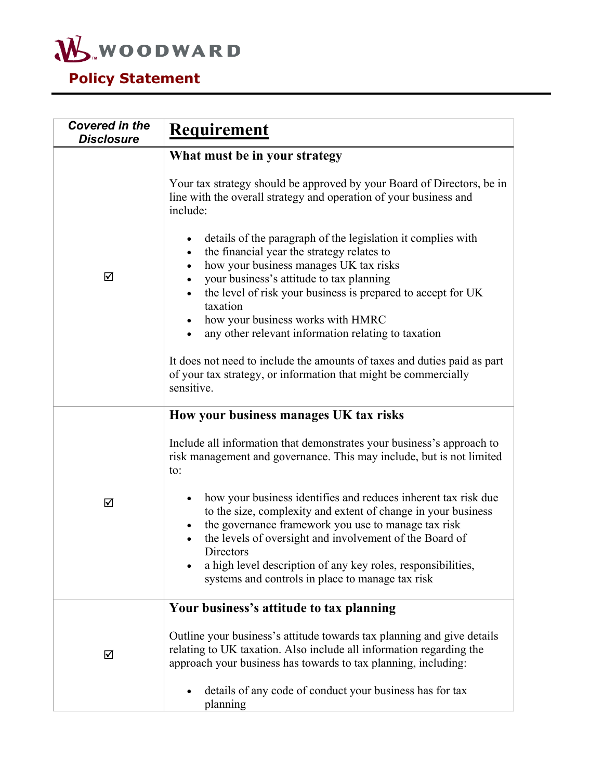

| <b>Covered in the</b><br><b>Disclosure</b> | Requirement                                                                                                                                                                                                                                                                                                                    |
|--------------------------------------------|--------------------------------------------------------------------------------------------------------------------------------------------------------------------------------------------------------------------------------------------------------------------------------------------------------------------------------|
|                                            | What must be in your strategy                                                                                                                                                                                                                                                                                                  |
|                                            | Your tax strategy should be approved by your Board of Directors, be in<br>line with the overall strategy and operation of your business and<br>include:                                                                                                                                                                        |
| ☑                                          | details of the paragraph of the legislation it complies with<br>the financial year the strategy relates to<br>how your business manages UK tax risks<br>$\bullet$                                                                                                                                                              |
|                                            | your business's attitude to tax planning<br>the level of risk your business is prepared to accept for UK<br>taxation                                                                                                                                                                                                           |
|                                            | how your business works with HMRC<br>any other relevant information relating to taxation                                                                                                                                                                                                                                       |
|                                            | It does not need to include the amounts of taxes and duties paid as part<br>of your tax strategy, or information that might be commercially<br>sensitive.                                                                                                                                                                      |
|                                            | How your business manages UK tax risks                                                                                                                                                                                                                                                                                         |
|                                            | Include all information that demonstrates your business's approach to<br>risk management and governance. This may include, but is not limited<br>to:                                                                                                                                                                           |
| ☑                                          | how your business identifies and reduces inherent tax risk due<br>to the size, complexity and extent of change in your business<br>the governance framework you use to manage tax risk<br>the levels of oversight and involvement of the Board of<br>Directors<br>a high level description of any key roles, responsibilities, |
|                                            | systems and controls in place to manage tax risk                                                                                                                                                                                                                                                                               |
| ☑                                          | Your business's attitude to tax planning                                                                                                                                                                                                                                                                                       |
|                                            | Outline your business's attitude towards tax planning and give details<br>relating to UK taxation. Also include all information regarding the<br>approach your business has towards to tax planning, including:                                                                                                                |
|                                            | details of any code of conduct your business has for tax<br>planning                                                                                                                                                                                                                                                           |